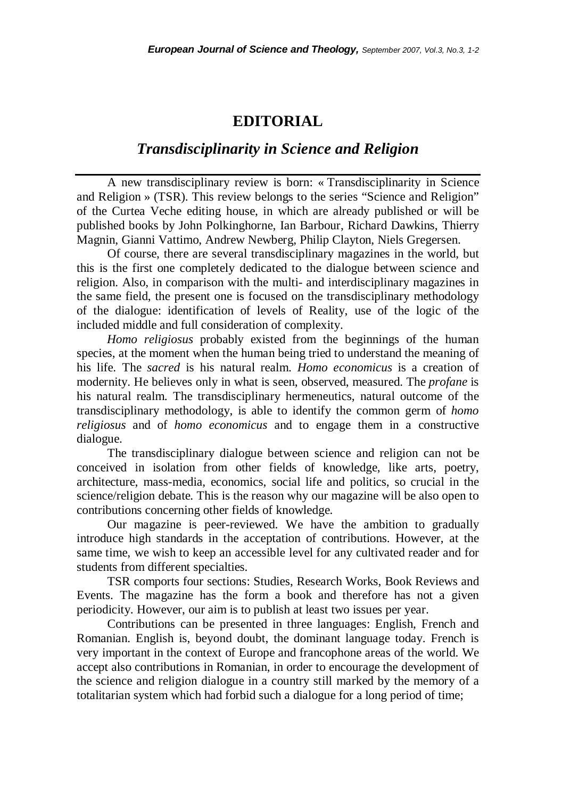## **EDITORIAL**

## *Transdisciplinarity in Science and Religion*

A new transdisciplinary review is born: « Transdisciplinarity in Science and Religion » (TSR). This review belongs to the series "Science and Religion" of the Curtea Veche editing house, in which are already published or will be published books by John Polkinghorne, Ian Barbour, Richard Dawkins, Thierry Magnin, Gianni Vattimo, Andrew Newberg, Philip Clayton, Niels Gregersen.

Of course, there are several transdisciplinary magazines in the world, but this is the first one completely dedicated to the dialogue between science and religion. Also, in comparison with the multi- and interdisciplinary magazines in the same field, the present one is focused on the transdisciplinary methodology of the dialogue: identification of levels of Reality, use of the logic of the included middle and full consideration of complexity.

*Homo religiosus* probably existed from the beginnings of the human species, at the moment when the human being tried to understand the meaning of his life. The *sacred* is his natural realm. *Homo economicus* is a creation of modernity. He believes only in what is seen, observed, measured. The *profane* is his natural realm. The transdisciplinary hermeneutics, natural outcome of the transdisciplinary methodology, is able to identify the common germ of *homo religiosus* and of *homo economicus* and to engage them in a constructive dialogue.

The transdisciplinary dialogue between science and religion can not be conceived in isolation from other fields of knowledge, like arts, poetry, architecture, mass-media, economics, social life and politics, so crucial in the science/religion debate. This is the reason why our magazine will be also open to contributions concerning other fields of knowledge.

Our magazine is peer-reviewed. We have the ambition to gradually introduce high standards in the acceptation of contributions. However, at the same time, we wish to keep an accessible level for any cultivated reader and for students from different specialties.

TSR comports four sections: Studies, Research Works, Book Reviews and Events. The magazine has the form a book and therefore has not a given periodicity. However, our aim is to publish at least two issues per year.

Contributions can be presented in three languages: English, French and Romanian. English is, beyond doubt, the dominant language today. French is very important in the context of Europe and francophone areas of the world. We accept also contributions in Romanian, in order to encourage the development of the science and religion dialogue in a country still marked by the memory of a totalitarian system which had forbid such a dialogue for a long period of time;